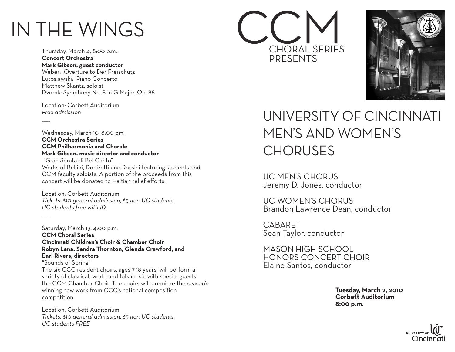# IN THE WINGS

Thursday, March 4, 8:00 p.m. **Concert Orchestra Mark Gibson, guest conductor** Weber: Overture to Der Freischütz Lutoslawski: Piano Concerto Matthew Skantz, soloist Dvorak: Symphony No. 8 in G Major, Op. 88

Location: Corbett Auditorium *Free admission*

 $\overline{\phantom{a}}$ 

 $\overline{\phantom{a}}$ 

Wednesday, March 10, 8:00 pm. **CCM Orchestra Series CCM Philharmonia and Chorale Mark Gibson, music director and conductor** "Gran Serata di Bel Canto"

Works of Bellini, Donizetti and Rossini featuring students and CCM faculty soloists. A portion of the proceeds from this concert will be donated to Haitian relief efforts.

Location: Corbett Auditorium *Tickets: \$10 general admission, \$5 non-UC students, UC students free with ID.*

Saturday, March 13, 4:00 p.m. **CCM Choral Series Cincinnati Children's Choir & Chamber Choir Robyn Lana, Sandra Thornton, Glenda Crawford, and Earl Rivers, directors** "Sounds of Spring" The six CCC resident choirs, ages 7-18 years, will perform a variety of classical, world and folk music with special guests,

the CCM Chamber Choir. The choirs will premiere the season's winning new work from CCC's national composition competition.

Location: Corbett Auditorium *Tickets: \$10 general admission, \$5 non-UC students, UC students FREE*





# University of Cincinnati Men's and Women's **CHORUSES**

UC Men's Chorus Jeremy D. Jones, conductor

UC Women's Chorus Brandon Lawrence Dean, conductor

**CABARET** Sean Taylor, conductor

Mason High School Honors Concert Choir Elaine Santos, conductor

> **Tuesday, March 2, 2010 Corbett Auditorium 8:00 p.m.**